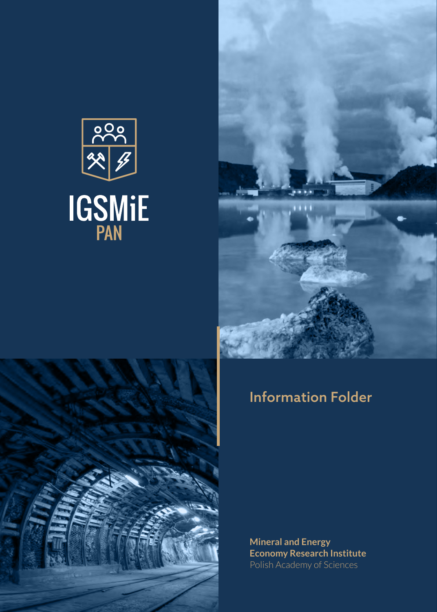





### Information Folder

**Mineral and Energy Economy Research Institute** Polish Academy of Sciences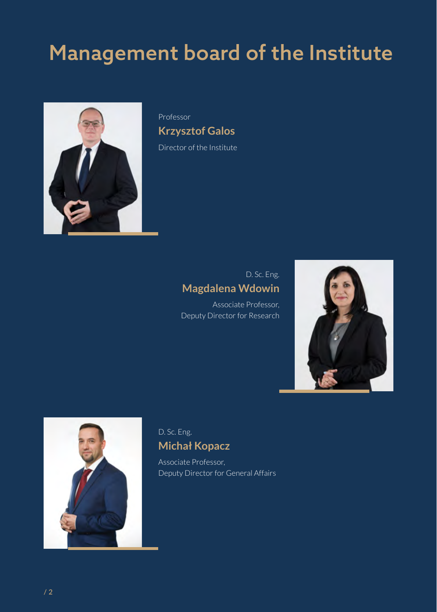# Management board of the Institute



Professor **Krzysztof Galos** Director of the Institute

### D. Sc. Eng. **Magdalena Wdowin**

Associate Professor, Deputy Director for Research





#### D. Sc. Eng. **Michał Kopacz**

Associate Professor, Deputy Director for General Affairs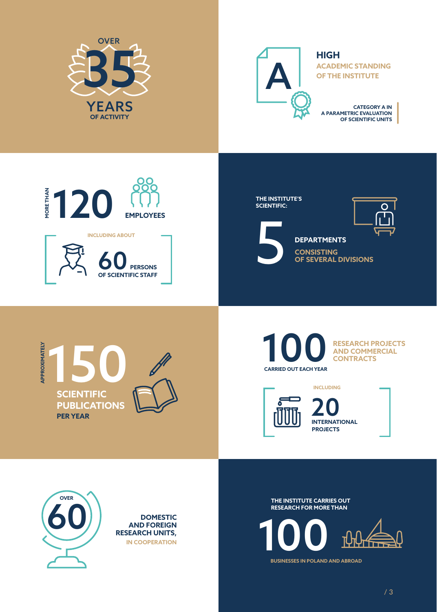



**HIGH ACADEMIC STANDING OF THE INSTITUTE**

**CATEGORY A IN A PARAMETRIC EVALUATION OF SCIENTIFIC UNITS**







**CONSISTING**<br>CONSISTING<br>OF SEVERAL **OF SEVERAL DIVISIONS DEPARTMENTS**



**CARRIED OUT EACH YEAR** 

**RESEARCH PROJECTS AND COMMERCIAL CONTRACTS**







**THE INSTITUTE CARRIES OUT RESEARCH FOR MORE THAN**



**BUSINESSES IN POLAND AND ABROAD**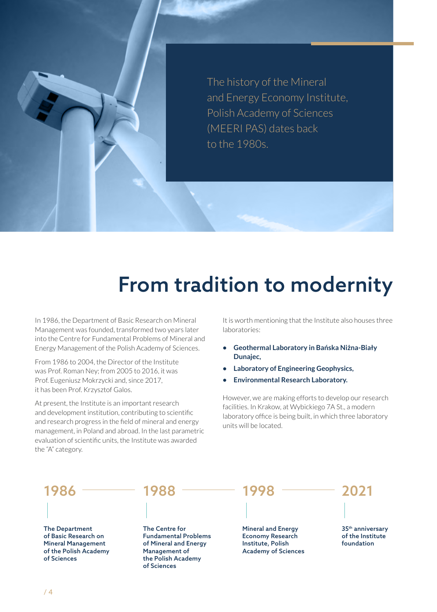The history of the Mineral and Energy Economy Institute, Polish Academy of Sciences (MEERI PAS) dates back to the 1980s.

## From tradition to modernity

In 1986, the Department of Basic Research on Mineral Management was founded, transformed two years later into the Centre for Fundamental Problems of Mineral and Energy Management of the Polish Academy of Sciences.

From 1986 to 2004, the Director of the Institute was Prof. Roman Ney; from 2005 to 2016, it was Prof. Eugeniusz Mokrzycki and, since 2017, it has been Prof. Krzysztof Galos.

At present, the Institute is an important research and development institution, contributing to scientific and research progress in the field of mineral and energy management, in Poland and abroad. In the last parametric evaluation of scientific units, the Institute was awarded the "A" category.

It is worth mentioning that the Institute also houses three laboratories:

- **• Geothermal Laboratory in Bańska Niżna-Biały Dunajec,**
- **• Laboratory of Engineering Geophysics,**
- **• Environmental Research Laboratory.**

However, we are making efforts to develop our research facilities. In Krakow, at Wybickiego 7A St., a modern laboratory office is being built, in which three laboratory units will be located.

1986 <sup>————</sup> 1988 <sup>————</sup> 1998 <sup>————</sup> 2021

The Department of Basic Research on Mineral Management of the Polish Academy of Sciences



The Centre for Fundamental Problems of Mineral and Energy Management of the Polish Academy of Sciences

Mineral and Energy Economy Research Institute, Polish Academy of Sciences

35th anniversary of the Institute foundation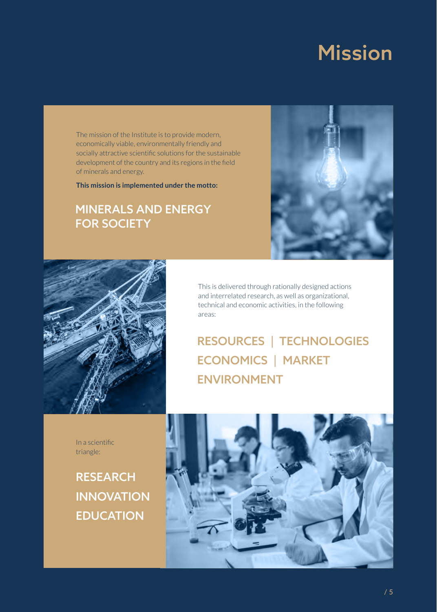### Mission

The mission of the Institute is to provide modern, economically viable, environmentally friendly and socially attractive scientific solutions for the sustainable development of the country and its regions in the field of minerals and energy.

**This mission is implemented under the motto:**

### MINERALS AND ENERGY FOR SOCIETY





This is delivered through rationally designed actions and interrelated research, as well as organizational, technical and economic activities, in the following areas:

### RESOURCES | TECHNOLOGIES ECONOMICS | MARKET ENVIRONMENT

In a scientific triangle:

### **RESEARCH INNOVATION** EDUCATION

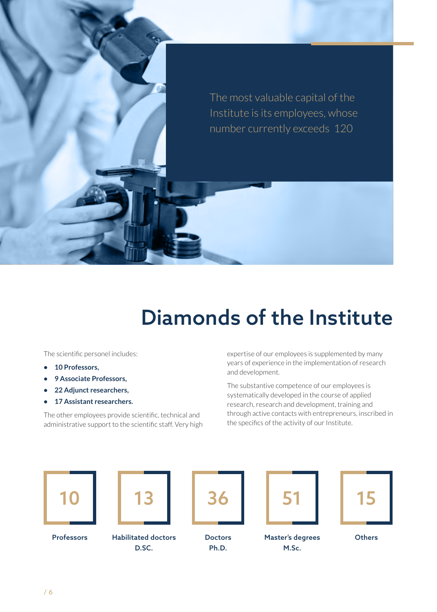The most valuable capital of the Institute is its employees, whose number currently exceeds 120

# Diamonds of the Institute

The scientific personel includes:

- **• 10 Professors,**
- **• 9 Associate Professors,**
- **• 22 Adjunct researchers,**
- **• 17 Assistant researchers.**

The other employees provide scientific, technical and administrative support to the scientific staff. Very high expertise of our employees is supplemented by many years of experience in the implementation of research and development.

The substantive competence of our employees is systematically developed in the course of applied research, research and development, training and through active contacts with entrepreneurs, inscribed in the specifics of the activity of our Institute.





D.SC.

Professors Habilitated doctors

36 Doctors

Ph.D.



Master's degrees M.Sc.



**Others**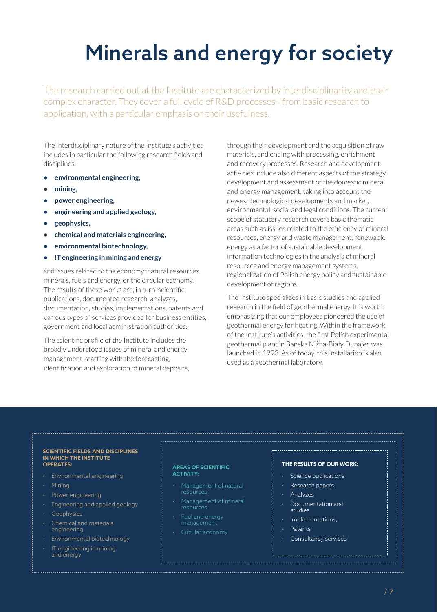# Minerals and energy for society

The research carried out at the Institute are characterized by interdisciplinarity and their complex character. They cover a full cycle of R&D processes - from basic research to application, with a particular emphasis on their usefulness.

The interdisciplinary nature of the Institute's activities includes in particular the following research fields and disciplines:

- **• environmental engineering,**
- **• mining,**
- **• power engineering,**
- **• engineering and applied geology,**
- **• geophysics,**
- **• chemical and materials engineering,**
- **• environmental biotechnology,**
- **• IT engineering in mining and energy**

and issues related to the economy: natural resources, minerals, fuels and energy, or the circular economy. The results of these works are, in turn, scientific publications, documented research, analyzes, documentation, studies, implementations, patents and various types of services provided for business entities, government and local administration authorities.

The scientific profile of the Institute includes the broadly understood issues of mineral and energy management, starting with the forecasting, identification and exploration of mineral deposits, through their development and the acquisition of raw materials, and ending with processing, enrichment and recovery processes. Research and development activities include also different aspects of the strategy development and assessment of the domestic mineral and energy management, taking into account the newest technological developments and market, environmental, social and legal conditions. The current scope of statutory research covers basic thematic areas such as issues related to the efficiency of mineral resources, energy and waste management, renewable energy as a factor of sustainable development, information technologies in the analysis of mineral resources and energy management systems, regionalization of Polish energy policy and sustainable development of regions.

The Institute specializes in basic studies and applied research in the field of geothermal energy. It is worth emphasizing that our employees pioneered the use of geothermal energy for heating. Within the framework of the Institute's activities, the first Polish experimental geothermal plant in Bańska Niżna-Biały Dunajec was launched in 1993. As of today, this installation is also used as a geothermal laboratory.

#### **SCIENTIFIC FIELDS AND DISCIPLINES IN WHICH THE INSTITUTE OPERATES:**

- Environmental engineering
- Mining
- Power engineering
- Engineering and applied geology
- Geophysics
- Chemical and materials engineering
- Environmental biotechnology
- IT engineering in mining and energy

#### **AREAS OF SCIENTIFIC ACTIVITY:**

- Management of natural resources
- Management of mineral resources
- management
- Circular economy

#### **THE RESULTS OF OUR WORK:**

- Science publications
- Research papers
- Analyzes
- Documentation and studies
- Implementations,
- Patents
- Consultancy services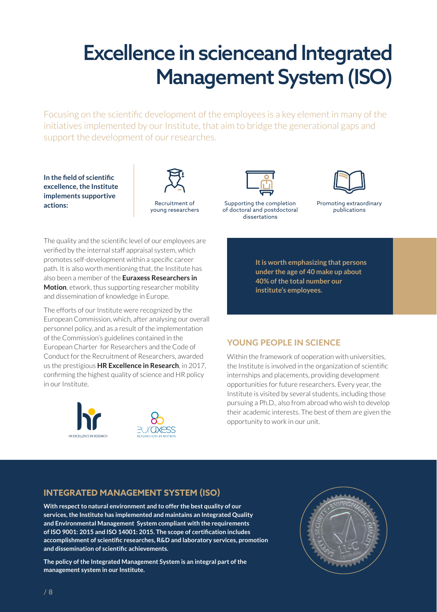# Excellence in scienceand Integrated Management System (ISO)

Focusing on the scientific development of the employees is a key element in many of the initiatives implemented by our Institute, that aim to bridge the generational gaps and support the development of our researches.

**In the field of scientific excellence, the Institute implements supportive actions:** 



The quality and the scientific level of our employees are verified by the internal staff appraisal system, which promotes self-development within a specific career path. It is also worth mentioning that, the Institute has also been a member of the **Euraxess Researchers in Motion**, etwork, thus supporting researcher mobility and dissemination of knowledge in Europe.

The efforts of our Institute were recognized by the European Commission, which, after analysing our overall personnel policy, and as a result of the implementation of the Commission's guidelines contained in the European Charter for Researchers and the Code of Conduct for the Recruitment of Researchers, awarded us the prestigious **HR Excellence in Research**, in 2017, confirming the highest quality of science and HR policy in our Institute.







Supporting the completion of doctoral and postdoctoral dissertations



Promoting extraordinary publications

**It is worth emphasizing that persons under the age of 40 make up about 40% of the total number our institute's employees.**

#### YOUNG PEOPLE IN SCIENCE

Within the framework of ooperation with universities, the Institute is involved in the organization of scientific internships and placements, providing development opportunities for future researchers. Every year, the Institute is visited by several students, including those pursuing a Ph.D., also from abroad who wish to develop their academic interests. The best of them are given the opportunity to work in our unit.

#### **INTEGRATED MANAGEMENT SYSTEM (ISO)**

**With respect to natural environment and to offer the best quality of our services, the Institute has implemented and maintains an Integrated Quality and Environmental Management System compliant with the requirements of ISO 9001: 2015 and ISO 14001: 2015. The scope of certification includes accomplishment of scientific researches, R&D and laboratory services, promotion and dissemination of scientific achievements.**

**The policy of the Integrated Management System is an integral part of the management system in our Institute.** 

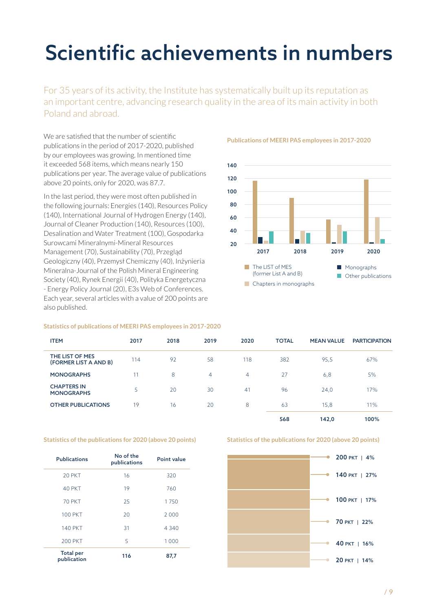# Scientific achievements in numbers

For 35 years of its activity, the Institute has systematically built up its reputation as an important centre, advancing research quality in the area of its main activity in both Poland and abroad.

We are satisfied that the number of scientific publications in the period of 2017-2020, published by our employees was growing. In mentioned time it exceeded 568 items, which means nearly 150 publications per year. The average value of publications above 20 points, only for 2020, was 87.7.

In the last period, they were most often published in the following journals: Energies (140), Resources Policy (140), International Journal of Hydrogen Energy (140), Journal of Cleaner Production (140), Resources (100), Desalination and Water Treatment (100), Gospodarka Surowcami Mineralnymi-Mineral Resources Management (70), Sustainability (70), Przegląd Geologiczny (40), Przemysł Chemiczny (40), Inżynieria Mineralna-Journal of the Polish Mineral Engineering Society (40), Rynek Energii (40), Polityka Energetyczna - Energy Policy Journal (20), E3s Web of Conferences. Each year, several articles with a value of 200 points are also published.

#### **Statistics of publications of MEERI PAS employees in 2017-2020**

#### ITEM 2017 2018 2019 2020 TOTAL MEAN VALUE PARTICIPATION THE LIST OF MES THE LIST OF MES<br>(FORMER LIST A AND B) 114 92 58 118 382 95,5 67% **MONOGRAPHS** 11 8 4 4 27 6,8 5% CHAPTERS IN **MONOGRAPHS** 5 20 30 41 96 24,0 17% **OTHER PUBLICATIONS** 19 16 20 8 63 15.8 11%

#### **Statistics of the publications for 2020 (above 20 points)**

| <b>Publications</b>             | No of the<br>publications | Point value |  |
|---------------------------------|---------------------------|-------------|--|
| 20 PKT                          | 16                        | 320         |  |
| 40 PKT                          | 19                        | 760         |  |
| <b>70 PKT</b>                   | 25                        | 1750        |  |
| <b>100 PKT</b>                  | 20                        | 2000        |  |
| <b>140 PKT</b>                  | 31                        | 4 3 4 0     |  |
| <b>200 PKT</b>                  | 5                         | 1000        |  |
| <b>Total per</b><br>publication | 116                       | 87,7        |  |

**Publications of MEERI PAS employees in 2017-2020**



|  | Statistics of the publications for 2020 (above 20 points) |  |  |
|--|-----------------------------------------------------------|--|--|
|  |                                                           |  |  |

568 142,0 100%



/ 9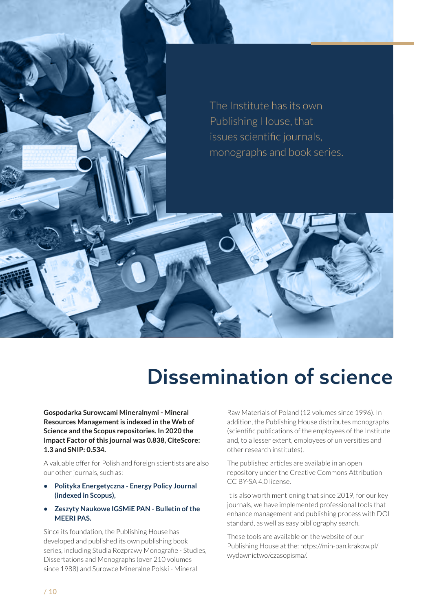

## Dissemination of science

**Gospodarka Surowcami Mineralnymi - Mineral Resources Management is indexed in the Web of Science and the Scopus repositories. In 2020 the Impact Factor of this journal was 0.838, CiteScore: 1.3 and SNIP: 0.534.**

A valuable offer for Polish and foreign scientists are also our other journals, such as:

- **• Polityka Energetyczna Energy Policy Journal (indexed in Scopus),**
- **• Zeszyty Naukowe IGSMiE PAN Bulletin of the MEERI PAS.**

Since its foundation, the Publishing House has developed and published its own publishing book series, including Studia Rozprawy Monografie - Studies, Dissertations and Monographs (over 210 volumes since 1988) and Surowce Mineralne Polski - Mineral

Raw Materials of Poland (12 volumes since 1996). In addition, the Publishing House distributes monographs (scientific publications of the employees of the Institute and, to a lesser extent, employees of universities and other research institutes).

The published articles are available in an open repository under the Creative Commons Attribution CC BY-SA 4.0 license.

It is also worth mentioning that since 2019, for our key journals, we have implemented professional tools that enhance management and publishing process with DOI standard, as well as easy bibliography search.

These tools are available on the website of our Publishing House at the: https://min-pan.krakow.pl/ wydawnictwo/czasopisma/.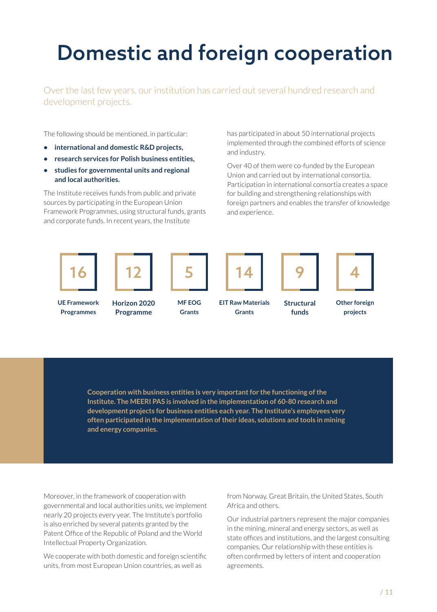# Domestic and foreign cooperation

Over the last few years, our institution has carried out several hundred research and development projects.

The following should be mentioned, in particular:

- **• international and domestic R&D projects,**
- **• research services for Polish business entities,**
- **• studies for governmental units and regional and local authorities.**

The Institute receives funds from public and private sources by participating in the European Union Framework Programmes, using structural funds, grants and corporate funds. In recent years, the Institute

has participated in about 50 international projects implemented through the combined efforts of science and industry.

Over 40 of them were co-funded by the European Union and carried out by international consortia. Participation in international consortia creates a space for building and strengthening relationships with foreign partners and enables the transfer of knowledge and experience.



**Cooperation with business entities is very important for the functioning of the Institute. The MEERI PAS is involved in the implementation of 60-80 research and development projects for business entities each year. The Institute's employees very often participated in the implementation of their ideas, solutions and tools in mining and energy companies.**

Moreover, in the framework of cooperation with governmental and local authorities units, we implement nearly 20 projects every year. The Institute's portfolio is also enriched by several patents granted by the Patent Office of the Republic of Poland and the World Intellectual Property Organization.

We cooperate with both domestic and foreign scientific units, from most European Union countries, as well as

from Norway, Great Britain, the United States, South Africa and others.

Our industrial partners represent the major companies in the mining, mineral and energy sectors, as well as state offices and institutions, and the largest consulting companies. Our relationship with these entities is often confirmed by letters of intent and cooperation agreements.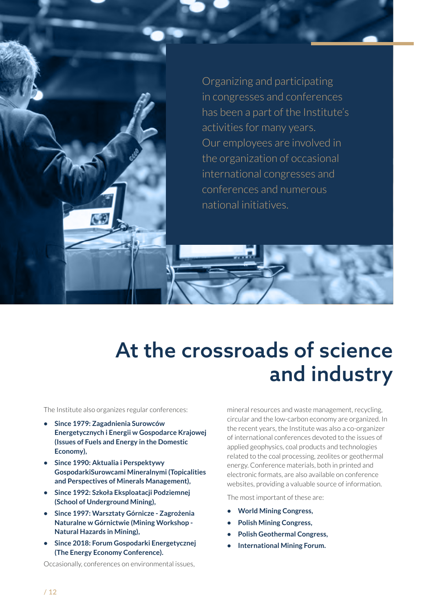Organizing and participating in congresses and conferences has been a part of the Institute's activities for many years. Our employees are involved in the organization of occasional international congresses and conferences and numerous national initiatives.

## At the crossroads of science and industry

The Institute also organizes regular conferences:

- **• Since 1979: Zagadnienia Surowców Energetycznych i Energii w Gospodarce Krajowej (Issues of Fuels and Energy in the Domestic Economy),**
- **• Since 1990: Aktualia i Perspektywy GospodarkiSurowcami Mineralnymi (Topicalities and Perspectives of Minerals Management),**
- **• Since 1992: Szkoła Eksploatacji Podziemnej (School of Underground Mining),**
- **• Since 1997: Warsztaty Górnicze Zagrożenia Naturalne w Górnictwie (Mining Workshop - Natural Hazards in Mining),**
- **• Since 2018: Forum Gospodarki Energetycznej (The Energy Economy Conference).**

Occasionally, conferences on environmental issues,

mineral resources and waste management, recycling, circular and the low-carbon economy are organized. In the recent years, the Institute was also a co-organizer of international conferences devoted to the issues of applied geophysics, coal products and technologies related to the coal processing, zeolites or geothermal energy. Conference materials, both in printed and electronic formats, are also available on conference websites, providing a valuable source of information.

The most important of these are:

- **• World Mining Congress,**
- **• Polish Mining Congress,**
- **• Polish Geothermal Congress,**
- **• International Mining Forum.**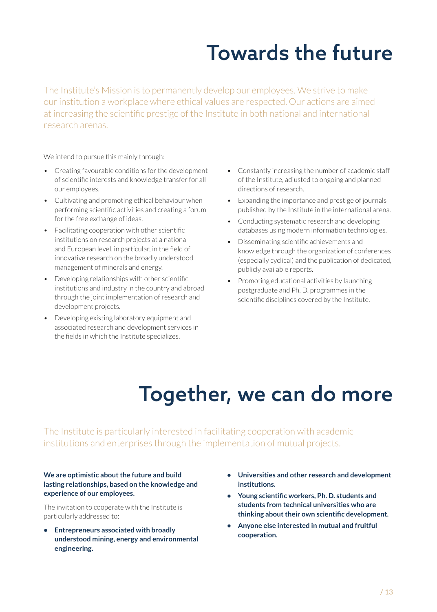# Towards the future

The Institute's Mission is to permanently develop our employees. We strive to make our institution a workplace where ethical values are respected. Our actions are aimed at increasing the scientific prestige of the Institute in both national and international research arenas.

We intend to pursue this mainly through:

- Creating favourable conditions for the development of scientific interests and knowledge transfer for all our employees.
- Cultivating and promoting ethical behaviour when performing scientific activities and creating a forum for the free exchange of ideas.
- Facilitating cooperation with other scientific institutions on research projects at a national and European level, in particular, in the field of innovative research on the broadly understood management of minerals and energy.
- Developing relationships with other scientific institutions and industry in the country and abroad through the joint implementation of research and development projects.
- Developing existing laboratory equipment and associated research and development services in the fields in which the Institute specializes.
- Constantly increasing the number of academic staff of the Institute, adjusted to ongoing and planned directions of research.
- Expanding the importance and prestige of journals published by the Institute in the international arena.
- Conducting systematic research and developing databases using modern information technologies.
- Disseminating scientific achievements and knowledge through the organization of conferences (especially cyclical) and the publication of dedicated, publicly available reports.
- Promoting educational activities by launching postgraduate and Ph. D. programmes in the scientific disciplines covered by the Institute.

# Together, we can do more

The Institute is particularly interested in facilitating cooperation with academic institutions and enterprises through the implementation of mutual projects.

#### **We are optimistic about the future and build lasting relationships, based on the knowledge and experience of our employees.**

The invitation to cooperate with the Institute is particularly addressed to:

- **• Entrepreneurs associated with broadly understood mining, energy and environmental engineering.**
- **• Universities and other research and development institutions.**
- **• Young scientific workers, Ph. D. students and students from technical universities who are thinking about their own scientific development.**
- **• Anyone else interested in mutual and fruitful cooperation.**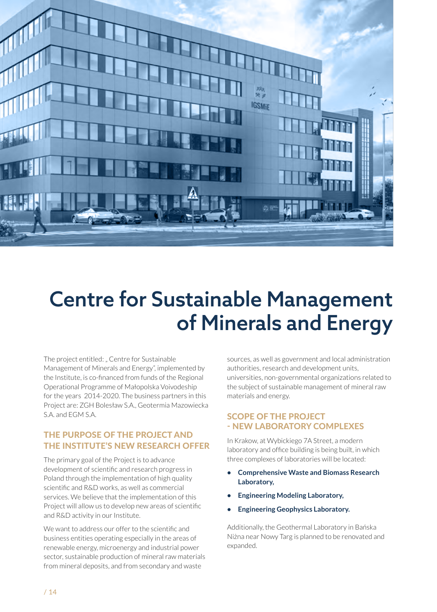

# Centre for Sustainable Management of Minerals and Energy

The project entitled: " Centre for Sustainable Management of Minerals and Energy", implemented by the Institute, is co-financed from funds of the Regional Operational Programme of Małopolska Voivodeship for the years 2014-2020. The business partners in this Project are: ZGH Bolesław S.A., Geotermia Mazowiecka S.A. and EGM S.A.

#### THE PURPOSE OF THE PROJECT AND THE INSTITUTE'S NEW RESEARCH OFFER

The primary goal of the Project is to advance development of scientific and research progress in Poland through the implementation of high quality scientific and R&D works, as well as commercial services. We believe that the implementation of this Project will allow us to develop new areas of scientific and R&D activity in our Institute.

We want to address our offer to the scientific and business entities operating especially in the areas of renewable energy, microenergy and industrial power sector, sustainable production of mineral raw materials from mineral deposits, and from secondary and waste

sources, as well as government and local administration authorities, research and development units, universities, non-governmental organizations related to the subject of sustainable management of mineral raw materials and energy.

#### SCOPE OF THE PROJECT - NEW LABORATORY COMPLEXES

In Krakow, at Wybickiego 7A Street, a modern laboratory and office building is being built, in which three complexes of laboratories will be located:

- **• Comprehensive Waste and Biomass Research Laboratory,**
- **• Engineering Modeling Laboratory,**
- **• Engineering Geophysics Laboratory.**

Additionally, the Geothermal Laboratory in Bańska Niżna near Nowy Targ is planned to be renovated and expanded.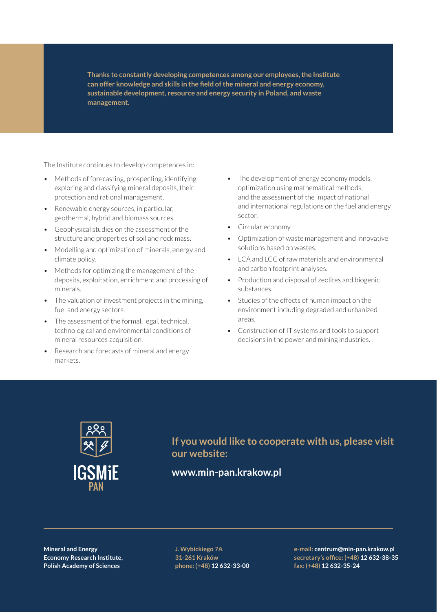**Thanks to constantly developing competences among our employees, the Institute can offer knowledge and skills in the field of the mineral and energy economy, sustainable development, resource and energy security in Poland, and waste management.**

The Institute continues to develop competences in:

- Methods of forecasting, prospecting, identifying, exploring and classifying mineral deposits, their protection and rational management.
- Renewable energy sources, in particular, geothermal, hybrid and biomass sources.
- Geophysical studies on the assessment of the structure and properties of soil and rock mass.
- Modelling and optimization of minerals, energy and climate policy.
- Methods for optimizing the management of the deposits, exploitation, enrichment and processing of minerals.
- The valuation of investment projects in the mining, fuel and energy sectors.
- The assessment of the formal, legal, technical, technological and environmental conditions of mineral resources acquisition.
- Research and forecasts of mineral and energy markets.
- The development of energy economy models, optimization using mathematical methods, and the assessment of the impact of national and international regulations on the fuel and energy sector.
- Circular economy.
- Optimization of waste management and innovative solutions based on wastes.
- LCA and LCC of raw materials and environmental and carbon footprint analyses.
- Production and disposal of zeolites and biogenic substances.
- Studies of the effects of human impact on the environment including degraded and urbanized areas.
- Construction of IT systems and tools to support decisions in the power and mining industries.



**If you would like to cooperate with us, please visit our website:** 

#### **www.min-pan.krakow.pl**

**Mineral and Energy Economy Research Institute, Polish Academy of Sciences**

**J. Wybickiego 7A 31-261 Kraków phone: (+48) 12 632-33-00** **e-mail: centrum@min-pan.krakow.pl secretary's office: (+48) 12 632-38-35 fax: (+48) 12 632-35-24**